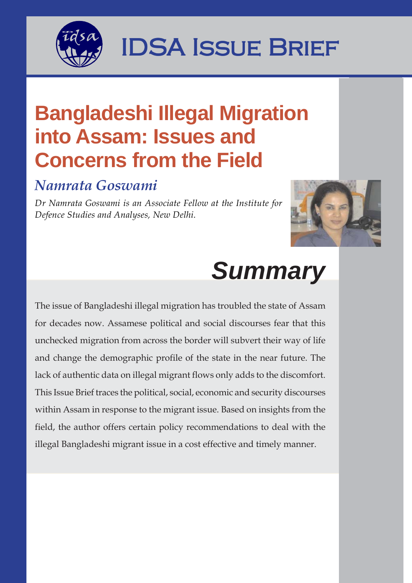

## **1994 IDSA ISSUE BRIEF**

### **Bangladeshi Illegal Migration into Assam: Issues and Concerns from the Field**

### *Namrata Goswami*

*Dr Namrata Goswami is an Associate Fellow at the Institute for Defence Studies and Analyses, New Delhi.*



# *Summary*

The issue of Bangladeshi illegal migration has troubled the state of Assam for decades now. Assamese political and social discourses fear that this unchecked migration from across the border will subvert their way of life and change the demographic profile of the state in the near future. The lack of authentic data on illegal migrant flows only adds to the discomfort. This Issue Brief traces the political, social, economic and security discourses within Assam in response to the migrant issue. Based on insights from the field, the author offers certain policy recommendations to deal with the illegal Bangladeshi migrant issue in a cost effective and timely manner.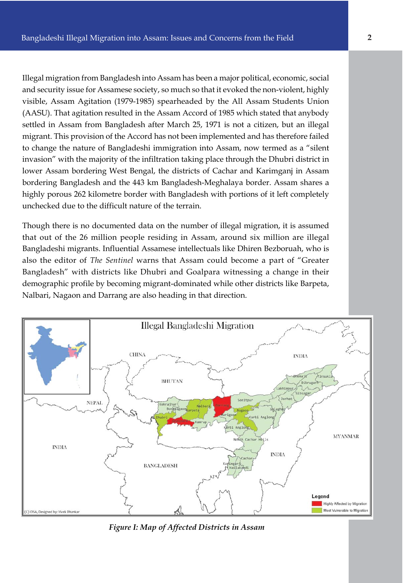Illegal migration from Bangladesh into Assam has been a major political, economic, social and security issue for Assamese society, so much so that it evoked the non-violent, highly visible, Assam Agitation (1979-1985) spearheaded by the All Assam Students Union (AASU). That agitation resulted in the Assam Accord of 1985 which stated that anybody settled in Assam from Bangladesh after March 25, 1971 is not a citizen, but an illegal migrant. This provision of the Accord has not been implemented and has therefore failed to change the nature of Bangladeshi immigration into Assam, now termed as a "silent invasion" with the majority of the infiltration taking place through the Dhubri district in lower Assam bordering West Bengal, the districts of Cachar and Karimganj in Assam bordering Bangladesh and the 443 km Bangladesh-Meghalaya border. Assam shares a highly porous 262 kilometre border with Bangladesh with portions of it left completely unchecked due to the difficult nature of the terrain.

Though there is no documented data on the number of illegal migration, it is assumed that out of the 26 million people residing in Assam, around six million are illegal Bangladeshi migrants. Influential Assamese intellectuals like Dhiren Bezboruah, who is also the editor of *The Sentinel* warns that Assam could become a part of "Greater Bangladesh" with districts like Dhubri and Goalpara witnessing a change in their demographic profile by becoming migrant-dominated while other districts like Barpeta, Nalbari, Nagaon and Darrang are also heading in that direction.



*Figure I: Map of Affected Districts in Assam*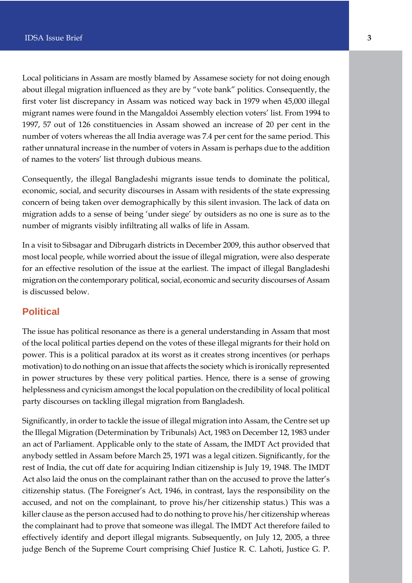Local politicians in Assam are mostly blamed by Assamese society for not doing enough about illegal migration influenced as they are by "vote bank" politics. Consequently, the first voter list discrepancy in Assam was noticed way back in 1979 when 45,000 illegal migrant names were found in the Mangaldoi Assembly election voters' list. From 1994 to 1997, 57 out of 126 constituencies in Assam showed an increase of 20 per cent in the number of voters whereas the all India average was 7.4 per cent for the same period. This rather unnatural increase in the number of voters in Assam is perhaps due to the addition of names to the voters' list through dubious means.

Consequently, the illegal Bangladeshi migrants issue tends to dominate the political, economic, social, and security discourses in Assam with residents of the state expressing concern of being taken over demographically by this silent invasion. The lack of data on migration adds to a sense of being 'under siege' by outsiders as no one is sure as to the number of migrants visibly infiltrating all walks of life in Assam.

In a visit to Sibsagar and Dibrugarh districts in December 2009, this author observed that most local people, while worried about the issue of illegal migration, were also desperate for an effective resolution of the issue at the earliest. The impact of illegal Bangladeshi migration on the contemporary political, social, economic and security discourses of Assam is discussed below.

#### **Political**

The issue has political resonance as there is a general understanding in Assam that most of the local political parties depend on the votes of these illegal migrants for their hold on power. This is a political paradox at its worst as it creates strong incentives (or perhaps motivation) to do nothing on an issue that affects the society which is ironically represented in power structures by these very political parties. Hence, there is a sense of growing helplessness and cynicism amongst the local population on the credibility of local political party discourses on tackling illegal migration from Bangladesh.

Significantly, in order to tackle the issue of illegal migration into Assam, the Centre set up the Illegal Migration (Determination by Tribunals) Act, 1983 on December 12, 1983 under an act of Parliament. Applicable only to the state of Assam, the IMDT Act provided that anybody settled in Assam before March 25, 1971 was a legal citizen. Significantly, for the rest of India, the cut off date for acquiring Indian citizenship is July 19, 1948. The IMDT Act also laid the onus on the complainant rather than on the accused to prove the latter's citizenship status. (The Foreigner's Act, 1946, in contrast, lays the responsibility on the accused, and not on the complainant, to prove his/her citizenship status.) This was a killer clause as the person accused had to do nothing to prove his/her citizenship whereas the complainant had to prove that someone was illegal. The IMDT Act therefore failed to effectively identify and deport illegal migrants. Subsequently, on July 12, 2005, a three judge Bench of the Supreme Court comprising Chief Justice R. C. Lahoti, Justice G. P.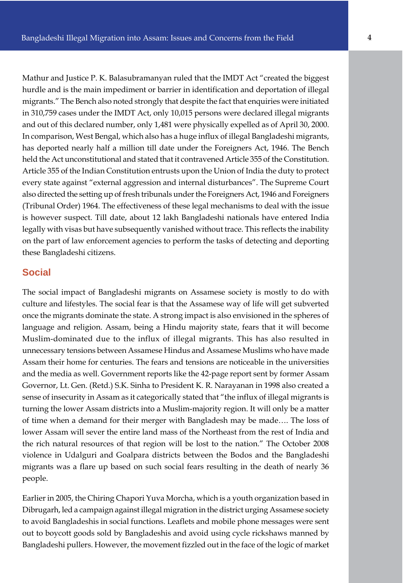Mathur and Justice P. K. Balasubramanyan ruled that the IMDT Act "created the biggest hurdle and is the main impediment or barrier in identification and deportation of illegal migrants." The Bench also noted strongly that despite the fact that enquiries were initiated in 310,759 cases under the IMDT Act, only 10,015 persons were declared illegal migrants and out of this declared number, only 1,481 were physically expelled as of April 30, 2000. In comparison, West Bengal, which also has a huge influx of illegal Bangladeshi migrants, has deported nearly half a million till date under the Foreigners Act, 1946. The Bench held the Act unconstitutional and stated that it contravened Article 355 of the Constitution. Article 355 of the Indian Constitution entrusts upon the Union of India the duty to protect every state against "external aggression and internal disturbances". The Supreme Court also directed the setting up of fresh tribunals under the Foreigners Act, 1946 and Foreigners (Tribunal Order) 1964. The effectiveness of these legal mechanisms to deal with the issue is however suspect. Till date, about 12 lakh Bangladeshi nationals have entered India legally with visas but have subsequently vanished without trace. This reflects the inability on the part of law enforcement agencies to perform the tasks of detecting and deporting these Bangladeshi citizens.

#### **Social**

The social impact of Bangladeshi migrants on Assamese society is mostly to do with culture and lifestyles. The social fear is that the Assamese way of life will get subverted once the migrants dominate the state. A strong impact is also envisioned in the spheres of language and religion. Assam, being a Hindu majority state, fears that it will become Muslim-dominated due to the influx of illegal migrants. This has also resulted in unnecessary tensions between Assamese Hindus and Assamese Muslims who have made Assam their home for centuries. The fears and tensions are noticeable in the universities and the media as well. Government reports like the 42-page report sent by former Assam Governor, Lt. Gen. (Retd.) S.K. Sinha to President K. R. Narayanan in 1998 also created a sense of insecurity in Assam as it categorically stated that "the influx of illegal migrants is turning the lower Assam districts into a Muslim-majority region. It will only be a matter of time when a demand for their merger with Bangladesh may be made…. The loss of lower Assam will sever the entire land mass of the Northeast from the rest of India and the rich natural resources of that region will be lost to the nation." The October 2008 violence in Udalguri and Goalpara districts between the Bodos and the Bangladeshi migrants was a flare up based on such social fears resulting in the death of nearly 36 people.

Earlier in 2005, the Chiring Chapori Yuva Morcha, which is a youth organization based in Dibrugarh, led a campaign against illegal migration in the district urging Assamese society to avoid Bangladeshis in social functions. Leaflets and mobile phone messages were sent out to boycott goods sold by Bangladeshis and avoid using cycle rickshaws manned by Bangladeshi pullers. However, the movement fizzled out in the face of the logic of market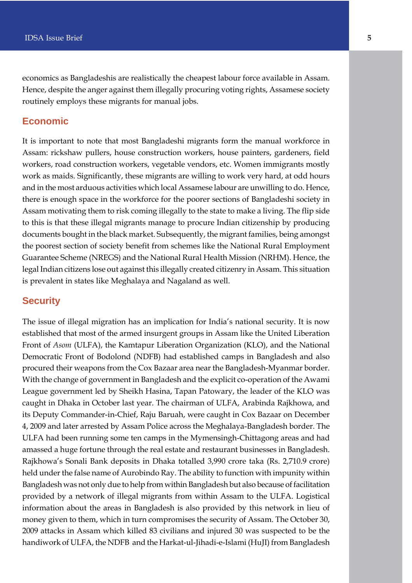economics as Bangladeshis are realistically the cheapest labour force available in Assam. Hence, despite the anger against them illegally procuring voting rights, Assamese society routinely employs these migrants for manual jobs.

#### **Economic**

It is important to note that most Bangladeshi migrants form the manual workforce in Assam: rickshaw pullers, house construction workers, house painters, gardeners, field workers, road construction workers, vegetable vendors, etc. Women immigrants mostly work as maids. Significantly, these migrants are willing to work very hard, at odd hours and in the most arduous activities which local Assamese labour are unwilling to do. Hence, there is enough space in the workforce for the poorer sections of Bangladeshi society in Assam motivating them to risk coming illegally to the state to make a living. The flip side to this is that these illegal migrants manage to procure Indian citizenship by producing documents bought in the black market. Subsequently, the migrant families, being amongst the poorest section of society benefit from schemes like the National Rural Employment Guarantee Scheme (NREGS) and the National Rural Health Mission (NRHM). Hence, the legal Indian citizens lose out against this illegally created citizenry in Assam. This situation is prevalent in states like Meghalaya and Nagaland as well.

#### **Security**

The issue of illegal migration has an implication for India's national security. It is now established that most of the armed insurgent groups in Assam like the United Liberation Front of *Asom* (ULFA), the Kamtapur Liberation Organization (KLO), and the National Democratic Front of Bodolond (NDFB) had established camps in Bangladesh and also procured their weapons from the Cox Bazaar area near the Bangladesh-Myanmar border. With the change of government in Bangladesh and the explicit co-operation of the Awami League government led by Sheikh Hasina, Tapan Patowary, the leader of the KLO was caught in Dhaka in October last year. The chairman of ULFA, Arabinda Rajkhowa, and its Deputy Commander-in-Chief, Raju Baruah, were caught in Cox Bazaar on December 4, 2009 and later arrested by Assam Police across the Meghalaya-Bangladesh border. The ULFA had been running some ten camps in the Mymensingh-Chittagong areas and had amassed a huge fortune through the real estate and restaurant businesses in Bangladesh. Rajkhowa's Sonali Bank deposits in Dhaka totalled 3,990 crore taka (Rs. 2,710.9 crore) held under the false name of Aurobindo Ray. The ability to function with impunity within Bangladesh was not only due to help from within Bangladesh but also because of facilitation provided by a network of illegal migrants from within Assam to the ULFA. Logistical information about the areas in Bangladesh is also provided by this network in lieu of money given to them, which in turn compromises the security of Assam. The October 30, 2009 attacks in Assam which killed 83 civilians and injured 30 was suspected to be the handiwork of ULFA, the NDFB and the Harkat-ul-Jihadi-e-Islami (HuJI) from Bangladesh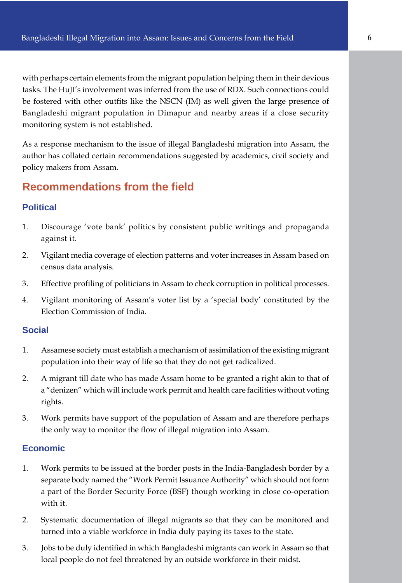with perhaps certain elements from the migrant population helping them in their devious tasks. The HuJI's involvement was inferred from the use of RDX. Such connections could be fostered with other outfits like the NSCN (IM) as well given the large presence of Bangladeshi migrant population in Dimapur and nearby areas if a close security monitoring system is not established.

As a response mechanism to the issue of illegal Bangladeshi migration into Assam, the author has collated certain recommendations suggested by academics, civil society and policy makers from Assam.

#### **Recommendations from the field**

#### **Political**

- 1. Discourage 'vote bank' politics by consistent public writings and propaganda against it.
- 2. Vigilant media coverage of election patterns and voter increases in Assam based on census data analysis.
- 3. Effective profiling of politicians in Assam to check corruption in political processes.
- 4. Vigilant monitoring of Assam's voter list by a 'special body' constituted by the Election Commission of India.

#### **Social**

- 1. Assamese society must establish a mechanism of assimilation of the existing migrant population into their way of life so that they do not get radicalized.
- 2. A migrant till date who has made Assam home to be granted a right akin to that of a "denizen" which will include work permit and health care facilities without voting rights.
- 3. Work permits have support of the population of Assam and are therefore perhaps the only way to monitor the flow of illegal migration into Assam.

#### **Economic**

- 1. Work permits to be issued at the border posts in the India-Bangladesh border by a separate body named the "Work Permit Issuance Authority" which should not form a part of the Border Security Force (BSF) though working in close co-operation with it.
- 2. Systematic documentation of illegal migrants so that they can be monitored and turned into a viable workforce in India duly paying its taxes to the state.
- 3. Jobs to be duly identified in which Bangladeshi migrants can work in Assam so that local people do not feel threatened by an outside workforce in their midst.